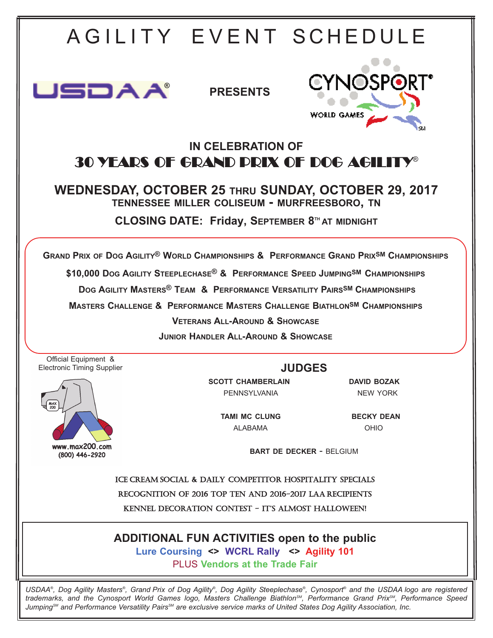

*USDAA®, Dog Agility Masters®, Grand Prix of Dog Agility®, Dog Agility Steeplechase®, Cynosport® and the USDAA logo are registered trademarks, and the Cynosport World Games logo, Masters Challenge BiathlonSM, Performance Grand PrixSM, Performance Speed Jumping<sup>sM</sup>* and Performance Versatility Pairs<sup>sM</sup> are exclusive service marks of United States Dog Agility Association, Inc.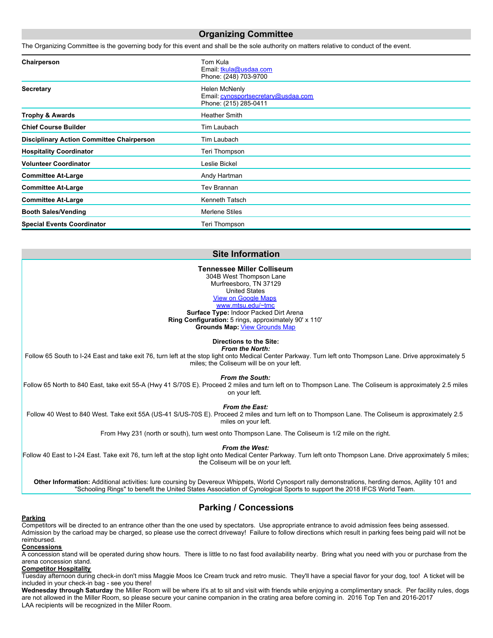### **Organizing Committee**

The Organizing Committee is the governing body for this event and shall be the sole authority on matters relative to conduct of the event.

| Chairperson                                      | Tom Kula<br>Email: tkula@usdaa.com<br>Phone: (248) 703-9700                   |
|--------------------------------------------------|-------------------------------------------------------------------------------|
| <b>Secretary</b>                                 | Helen McNenly<br>Email: cynosportsecretary@usdaa.com<br>Phone: (215) 285-0411 |
| <b>Trophy &amp; Awards</b>                       | <b>Heather Smith</b>                                                          |
| <b>Chief Course Builder</b>                      | Tim Laubach                                                                   |
| <b>Disciplinary Action Committee Chairperson</b> | Tim Laubach                                                                   |
| <b>Hospitality Coordinator</b>                   | Teri Thompson                                                                 |
| <b>Volunteer Coordinator</b>                     | Leslie Bickel                                                                 |
| <b>Committee At-Large</b>                        | Andy Hartman                                                                  |
| <b>Committee At-Large</b>                        | Tev Brannan                                                                   |
| <b>Committee At-Large</b>                        | Kenneth Tatsch                                                                |
| <b>Booth Sales/Vending</b>                       | Merlene Stiles                                                                |
| <b>Special Events Coordinator</b>                | Teri Thompson                                                                 |

### **Site Information**

#### **Tennessee Miller Colliseum**

304B West Thompson Lane Murfreesboro, TN 37129 United States [View on Google Maps](http://maps.google.com/maps?q=Tennessee%20Miller%20Colliseum, 304B West Thompson Lane, Murfreesboro, TN, 37129, US) [www.mtsu.edu/~tmc](http://www.mtsu.edu/~tmc)

**Surface Type:** Indoor Packed Dirt Arena **Ring Configuration:** 5 rings, approximately 90' x 110' **Grounds Map:** [View Grounds Map](http://www.usdaa.com/ring_config/TX0000_106360_157706_10_21_2015.jpg)

**Directions to the Site:**

*From the North:*

Follow 65 South to I-24 East and take exit 76, turn left at the stop light onto Medical Center Parkway. Turn left onto Thompson Lane. Drive approximately 5 miles; the Coliseum will be on your left.

*From the South:*

Follow 65 North to 840 East, take exit 55-A (Hwy 41 S/70S E). Proceed 2 miles and turn left on to Thompson Lane. The Coliseum is approximately 2.5 miles on your left.

*From the East:*

Follow 40 West to 840 West. Take exit 55A (US-41 S/US-70S E). Proceed 2 miles and turn left on to Thompson Lane. The Coliseum is approximately 2.5 miles on your left.

From Hwy 231 (north or south), turn west onto Thompson Lane. The Coliseum is 1/2 mile on the right.

*From the West:*

Follow 40 East to I-24 East. Take exit 76, turn left at the stop light onto Medical Center Parkway. Turn left onto Thompson Lane. Drive approximately 5 miles; the Coliseum will be on your left.

**Other Information:** Additional activities: lure coursing by Devereux Whippets, World Cynosport rally demonstrations, herding demos, Agility 101 and "Schooling Rings" to benefit the United States Association of Cynological Sports to support the 2018 IFCS World Team.

# **Parking / Concessions**

### **Parking**

Competitors will be directed to an entrance other than the one used by spectators. Use appropriate entrance to avoid admission fees being assessed. Admission by the carload may be charged, so please use the correct driveway! Failure to follow directions which result in parking fees being paid will not be reimbursed.

#### **Concessions**

A concession stand will be operated during show hours. There is little to no fast food availability nearby. Bring what you need with you or purchase from the arena concession stand.

#### **Competitor Hospitality**

Tuesday afternoon during check-in don't miss Maggie Moos Ice Cream truck and retro music. They'll have a special flavor for your dog, too! A ticket will be included in your check-in bag - see you there!

**Wednesday through Saturday** the Miller Room will be where it's at to sit and visit with friends while enjoying a complimentary snack. Per facility rules, dogs are not allowed in the Miller Room, so please secure your canine companion in the crating area before coming in. 2016 Top Ten and 2016-2017 LAA recipients will be recognized in the Miller Room.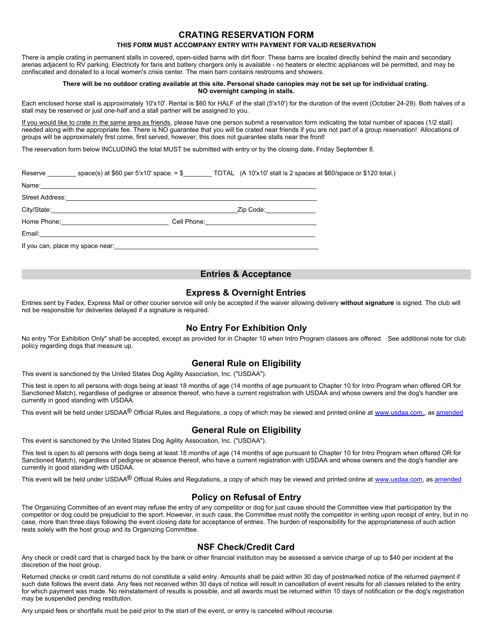## **CRATING RESERVATION FORM**

### **THIS FORM MUST ACCOMPANY ENTRY WITH PAYMENT FOR VALID RESERVATION**

There is ample crating in permanent stalls in covered, open-sided barns with dirt floor. These barns are located directly behind the main and secondary arenas adjacent to RV parking. Electricity for fans and battery chargers only is available - no heaters or electric appliances will be permitted, and may be confiscated and donated to a local women's crisis center. The main barn contains restrooms and showers.

#### **There will be no outdoor crating available at this site. Personal shade canopies may not be set up for individual crating. NO overnight camping in stalls.**

Each enclosed horse stall is approximately 10'x10'. Rental is \$60 for HALF of the stall (5'x10') for the duration of the event (October 24-29). Both halves of a stall may be reserved or just one-half and a stall partner will be assigned to you.

If you would like to crate in the same area as friends, please have one person submit a reservation form indicating the total number of spaces (1/2 stall) needed along with the appropriate fee. There is NO guarantee that you will be crated near friends if you are not part of a group reservation! Allocations of groups will be approximately first come, first served, however, this does not guarantee stalls near the front!

The reservation form below INCLUDING the total MUST be submitted with entry or by the closing date, Friday September 8.

Reserve \_\_\_\_\_\_\_\_ space(s) at \$60 per 5'x10' space. = \$\_\_\_\_\_\_\_\_ TOTAL (A 10'x10' stall is 2 spaces at \$60/space or \$120 total.)

Name:\_\_\_\_\_\_\_\_\_\_\_\_\_\_\_\_\_\_\_\_\_\_\_\_\_\_\_\_\_\_\_\_\_\_\_\_\_\_\_\_\_\_\_\_\_\_\_\_\_\_\_\_\_\_\_\_\_\_\_\_\_\_\_\_\_\_\_\_\_\_\_\_\_\_\_\_\_

Street Address:

City/State:\_\_\_\_\_\_\_\_\_\_\_\_\_\_\_\_\_\_\_\_\_\_\_\_\_\_\_\_\_\_\_\_\_\_\_\_\_\_\_\_\_\_\_\_\_\_\_\_\_\_\_\_Zip Code:\_\_\_\_\_\_\_\_\_\_\_\_\_\_

Home Phone:\_\_\_\_\_\_\_\_\_\_\_\_\_\_\_\_\_\_\_\_\_\_\_\_\_\_\_\_\_\_ Cell Phone:\_\_\_\_\_\_\_\_\_\_\_\_\_\_\_\_\_\_\_\_\_\_\_\_\_\_\_\_\_\_\_

Email:\_\_\_\_\_\_\_\_\_\_\_\_\_\_\_\_\_\_\_\_\_\_\_\_\_\_\_\_\_\_\_\_\_\_\_\_\_\_\_\_\_\_\_\_\_\_\_\_\_\_\_\_\_\_\_\_\_\_\_\_\_\_\_\_\_\_\_\_\_\_\_\_\_\_\_\_\_

If you can, place my space near:

## **Entries & Acceptance**

### **Express & Overnight Entries**

Entries sent by Fedex, Express Mail or other courier service will only be accepted if the waiver allowing delivery **without signature** is signed. The club will not be responsible for deliveries delayed if a signature is required.

# **No Entry For Exhibition Only**

No entry "For Exhibition Only" shall be accepted, except as provided for in Chapter 10 when Intro Program classes are offered. See additional note for club policy regarding dogs that measure up.

## **General Rule on Eligibility**

This event is sanctioned by the United States Dog Agility Association, Inc. ("USDAA").

This test is open to all persons with dogs being at least 18 months of age (14 months of age pursuant to Chapter 10 for Intro Program when offered OR for Sanctioned Match), regardless of pedigree or absence thereof, who have a current registration with USDAA and whose owners and the dog's handler are currently in good standing with USDAA.

This event will be held under USDAA<sup>®</sup> Official Rules and Regulations, a copy of which may be viewed and printed online at [www.usdaa.com.](http://www.usdaa.com/binary/files/rules_ebook_2011printrev060211.pdf), as [amended](http://www.usdaa.com/rulesReg_eBook.cfm)

# **General Rule on Eligibility**

This event is sanctioned by the United States Dog Agility Association, Inc. ("USDAA").

This test is open to all persons with dogs being at least 18 months of age (14 months of age pursuant to Chapter 10 for Intro Program when offered OR for Sanctioned Match), regardless of pedigree or absence thereof, who have a current registration with USDAA and whose owners and the dog's handler are currently in good standing with USDAA.

This event will be held under USDAA<sup>®</sup> Official Rules and Regulations, a copy of which may be viewed and printed online at [www.usdaa.com](http://www.usdaa.com/binary/files/rules_ebook_2011printrev060211.pdf), as [amended](http://www.usdaa.com/rulesReg_eBook.cfm)

# **Policy on Refusal of Entry**

The Organizing Committee of an event may refuse the entry of any competitor or dog for just cause should the Committee view that participation by the competitor or dog could be prejudicial to the sport. However, in such case, the Committee must notify the competitor in writing upon receipt of entry, but in no case, more than three days following the event closing date for acceptance of entries. The burden of responsibility for the appropriateness of such action rests solely with the host group and its Organizing Committee.

# **NSF Check/Credit Card**

Any check or credit card that is charged back by the bank or other financial institution may be assessed a service charge of up to \$40 per incident at the discretion of the host group.

Returned checks or credit card returns do not constitute a valid entry. Amounts shall be paid within 30 day of postmarked notice of the returned payment if such date follows the event date. Any fees not received within 30 days of notice will result in cancellation of event results for all classes related to the entry for which payment was made. No reinstatement of results is possible, and all awards must be returned within 10 days of notification or the dog's registration may be suspended pending restitution.

Any unpaid fees or shortfalls must be paid prior to the start of the event, or entry is canceled without recourse.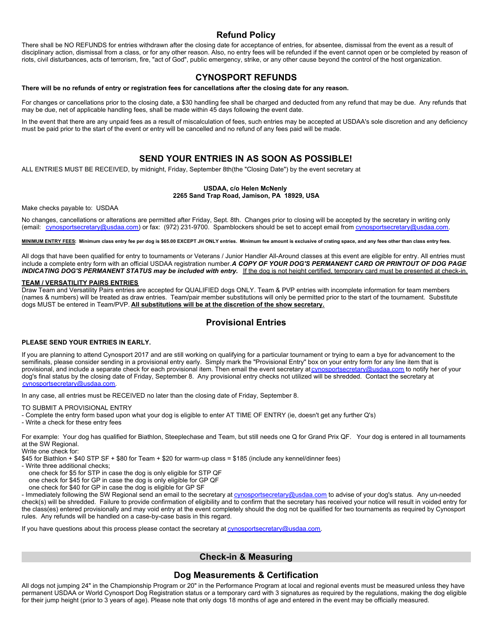# **Refund Policy**

There shall be NO REFUNDS for entries withdrawn after the closing date for acceptance of entries, for absentee, dismissal from the event as a result of disciplinary action, dismissal from a class, or for any other reason. Also, no entry fees will be refunded if the event cannot open or be completed by reason of riots, civil disturbances, acts of terrorism, fire, "act of God", public emergency, strike, or any other cause beyond the control of the host organization.

# **CYNOSPORT REFUNDS**

**There will be no refunds of entry or registration fees for cancellations after the closing date for any reason.**

For changes or cancellations prior to the closing date, a \$30 handling fee shall be charged and deducted from any refund that may be due. Any refunds that may be due, net of applicable handling fees, shall be made within 45 days following the event date.

In the event that there are any unpaid fees as a result of miscalculation of fees, such entries may be accepted at USDAA's sole discretion and any deficiency must be paid prior to the start of the event or entry will be cancelled and no refund of any fees paid will be made.

# **SEND YOUR ENTRIES IN AS SOON AS POSSIBLE!**

ALL ENTRIES MUST BE RECEIVED, by midnight, Friday, September 8th(the "Closing Date") by the event secretary at

### **USDAA, c/o Helen McNenly**

**2265 Sand Trap Road, Jamison, PA 18929, USA**

Make checks payable to: USDAA

No changes, cancellations or alterations are permitted after Friday, Sept. 8th. Changes prior to closing will be accepted by the secretary in writing only (email: [cynosportsecretary@usdaa.com](mailto:cynosportsecretary@usdaa.com)) or fax: (972) 231-9700. Spamblockers should be set to accept email from cynosportsecretary@usdaa.com.

**MINIMUM ENTRY FEES: Minimum class entry fee per dog is \$65.00 EXCEPT JH ONLY entries. Minimum fee amount is exclusive of crating space, and any fees other than class entry fees.**

All dogs that have been qualified for entry to tournaments or Veterans / Junior Handler All-Around classes at this event are eligible for entry. All entries must include a complete entry form with an official USDAA registration number. *A COPY OF YOUR DOG'S PERMANENT CARD OR PRINTOUT OF DOG PAGE* INDICATING DOG'S PERMANENT STATUS may be included with entry. If the dog is not height certified, temporary card must be presented at check-in.

### **TEAM / VERSATILITY PAIRS ENTRIES**

Draw Team and Versatility Pairs entries are accepted for QUALIFIED dogs ONLY. Team & PVP entries with incomplete information for team members (names & numbers) will be treated as draw entries. Team/pair member substitutions will only be permitted prior to the start of the tournament. Substitute dogs MUST be entered in Team/PVP. **All substitutions will be at the discretion of the show secretary.**

# **Provisional Entries**

### **PLEASE SEND YOUR ENTRIES IN EARLY.**

If you are planning to attend Cynosport 2017 and are still working on qualifying for a particular tournament or trying to earn a bye for advancement to the semifinals, please consider sending in a provisional entry early. Simply mark the "Provisional Entry" box on your entry form for any line item that is provisional, and include a separate check for each provisional item. Then email the event secretary at [cynosportsecretary@usdaa.com](mailto:cynosportsecretary@usdaa.com) to notify her of your dog's final status by the closing date of Friday, September 8. Any provisional entry checks not utilized will be shredded. Contact the secretary at [cynosportsecretary@usdaa.com](mailto:cynosportsecretary@usdaa.com).

In any case, all entries must be RECEIVED no later than the closing date of Friday, September 8.

TO SUBMIT A PROVISIONAL ENTRY

- Complete the entry form based upon what your dog is eligible to enter AT TIME OF ENTRY (ie, doesn't get any further Q's)
- Write a check for these entry fees

For example: Your dog has qualified for Biathlon, Steeplechase and Team, but still needs one Q for Grand Prix QF. Your dog is entered in all tournaments at the SW Regional.

Write one check for:

\$45 for Biathlon + \$40 STP SF + \$80 for Team + \$20 for warm-up class = \$185 (include any kennel/dinner fees)

- Write three additional checks;

one check for \$5 for STP in case the dog is only eligible for STP QF

one check for \$45 for GP in case the dog is only eligible for GP QF

one check for \$40 for GP in case the dog is eligible for GP SF

- Immediately following the SW Regional send an email to the secretary at [cynosportsecretary@usdaa.com](mailto:cynosportsecretary@usdaa.com) to advise of your dog's status. Any un-needed check(s) will be shredded. Failure to provide confirmation of eligibility and to confirm that the secretary has received your notice will result in voided entry for the class(es) entered provisionally and may void entry at the event completely should the dog not be qualified for two tournaments as required by Cynosport rules. Any refunds will be handled on a case-by-case basis in this regard.

If you have questions about this process please contact the secretary at  $\frac{\text{cynosports} \cdot \text{cretary@usdaa.com}}{\text{corresponds}}$ .

# **Check-in & Measuring**

# **Dog Measurements & Certification**

All dogs not jumping 24" in the Championship Program or 20" in the Performance Program at local and regional events must be measured unless they have permanent USDAA or World Cynosport Dog Registration status or a temporary card with 3 signatures as required by the regulations, making the dog eligible for their jump height (prior to 3 years of age). Please note that only dogs 18 months of age and entered in the event may be officially measured.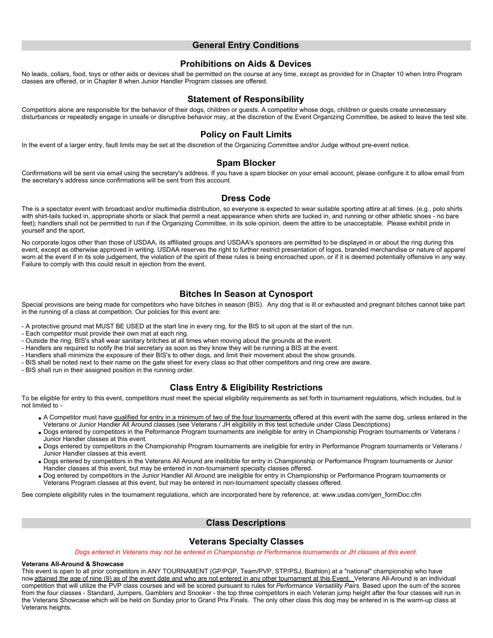## **General Entry Conditions**

## **Prohibitions on Aids & Devices**

No leads, collars, food, toys or other aids or devices shall be permitted on the course at any time, except as provided for in Chapter 10 when Intro Program classes are offered, or in Chapter 8 when Junior Handler Program classes are offered.

## **Statement of Responsibility**

Competitors alone are responsible for the behavior of their dogs, children or guests. A competitor whose dogs, children or guests create unnecessary disturbances or repeatedly engage in unsafe or disruptive behavior may, at the discretion of the Event Organizing Committee, be asked to leave the test site.

## **Policy on Fault Limits**

In the event of a larger entry, fault limits may be set at the discretion of the Organizing Committee and/or Judge without pre-event notice.

## **Spam Blocker**

Confirmations will be sent via email using the secretary's address. If you have a spam blocker on your email account, please configure it to allow email from the secretary's address since confirmations will be sent from this account.

## **Dress Code**

The is a spectator event with broadcast and/or multimedia distribution, so everyone is expected to wear suitable sporting attire at all times. (e.g., polo shirts with shirt-tails tucked in, appropriate shorts or slack that permit a neat appearance when shirts are tucked in, and running or other athletic shoes - no bare feet); handlers shall not be permitted to run if the Organizing Committee, in its sole opinion, deem the attire to be unacceptable. Please exhibit pride in yourself and the sport.

No corporate logos other than those of USDAA, its affiliated groups and USDAA's sponsors are permitted to be displayed in or about the ring during this event, except as otherwise approved in writing. USDAA reserves the right to further restrict presentation of logos, branded merchandise or nature of apparel worn at the event if in its sole judgement, the violation of the spirit of these rules is being encroached upon, or if it is deemed potentially offensive in any way. Failure to comply with this could result in ejection from the event.

# **Bitches In Season at Cynosport**

Special provisions are being made for competitors who have bitches in season (BIS). Any dog that is ill or exhausted and pregnant bitches cannot take part in the running of a class at competition. Our policies for this event are:

- A protective ground mat MUST BE USED at the start line in every ring, for the BIS to sit upon at the start of the run.

- Each competitor must provide their own mat at each ring.
- Outside the ring, BIS's shall wear sanitary britches at all times when moving about the grounds at the event.

- Handlers are required to notify the trial secretary as soon as they know they will be running a BIS at the event.

- Handlers shall minimize the exposure of their BIS's to other dogs, and limit their movement about the show grounds.
- BIS shall be noted next to their name on the gate sheet for every class so that other competitors and ring crew are aware.
- BIS shall run in their assigned position in the running order.

# **Class Entry & Eligibility Restrictions**

To be eligible for entry to this event, competitors must meet the special eligibility requirements as set forth in tournament regulations, which includes, but is not limited to -

- A Competitor must have qualified for entry in a minimum of two of the four tournaments offered at this event with the same dog, unless entered in the Veterans or Junior Handler All Around classes (see Veterans / JH eligibility in this test schedule under Class Descriptions)
- Dogs entered by competitors in the Peformance Program tournaments are ineligible for entry in Championship Program tournaments or Veterans / Junior Handler classes at this event.
- Dogs entered by competitors in the Championship Program tournaments are ineligible for entry in Performance Program tournaments or Veterans / Junior Handler classes at this event.
- Dogs entered by competitors in the Veterans All Around are inelibible for entry in Championship or Performance Program tournaments or Junior Handler classes at this event, but may be entered in non-tournament specialty classes offered.
- . Dog entered by competitors in the Junior Handler All Around are ineligible for entry in Championship or Performance Program tournaments or Veterans Program classes at this event, but may be entered in non-tournament specialty classes offered.

See complete eligibility rules in the tournament regulations, which are incorporated here by reference, at: www.usdaa.com/gen\_formDoc.cfm

## **Class Descriptions**

## **Veterans Specialty Classes**

*Dogs entered in Veterans may not be entered in Championship or Performance tournaments or JH classes at this event.*

#### **Veterans All-Around & Showcase**

This event is open to all prior competitors in ANY TOURNAMENT (GP/PGP, Team/PVP, STP/PSJ, Biathlon) at a "national" championship who have now attained the age of nine (9) as of the event date and who are not entered in any other tournament at this Event. Veterans All-Around is an individual competition that will utilize the PVP class courses and will be scored pursuant to rules for *Performance Versatility Pairs*. Based upon the sum of the scores from the four classes - Standard, Jumpers, Gamblers and Snooker - the top three competitors in each Veteran jump height after the four classes will run in the Veterans Showcase which will be held on Sunday prior to Grand Prix Finals. The only other class this dog may be entered in is the warm-up class at Veterans heights.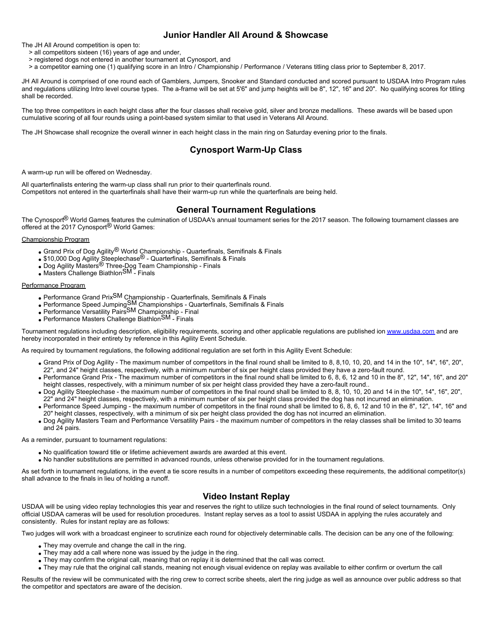# **Junior Handler All Around & Showcase**

The JH All Around competition is open to:

- > all competitors sixteen (16) years of age and under,
- > registered dogs not entered in another tournament at Cynosport, and
- > a competitor earning one (1) qualifying score in an Intro / Championship / Performance / Veterans titling class prior to September 8, 2017.

JH All Around is comprised of one round each of Gamblers, Jumpers, Snooker and Standard conducted and scored pursuant to USDAA Intro Program rules and regulations utilizing Intro level course types. The a-frame will be set at 5'6" and jump heights will be 8", 12", 16" and 20". No qualifying scores for titling shall be recorded.

The top three competitors in each height class after the four classes shall receive gold, silver and bronze medallions. These awards will be based upon cumulative scoring of all four rounds using a point-based system similar to that used in Veterans All Around.

The JH Showcase shall recognize the overall winner in each height class in the main ring on Saturday evening prior to the finals.

# **Cynosport Warm-Up Class**

A warm-up run will be offered on Wednesday.

All quarterfinalists entering the warm-up class shall run prior to their quarterfinals round. Competitors not entered in the quarterfinals shall have their warm-up run while the quarterfinals are being held.

# **General Tournament Regulations**

The Cynosport<sup>®</sup> World Games features the culmination of USDAA's annual tournament series for the 2017 season. The following tournament classes are offered at the 2017 Cynosport® World Games:

#### Championship Program

- Grand Prix of Dog Agility<sup>®</sup> World Championship Quarterfinals, Semifinals & Finals
- \$10,000 Dog Agility Steeplechase® Quarterfinals, Semifinals & Finals
- Dog Agility Masters® Three-Dog Team Championship Finals
- Masters Challenge BiathlonSM Finals

#### Performance Program

- Performance Grand PrixSM Championship Quarterfinals, Semifinals & Finals
- Performance Speed JumpingSM Championships Quarterfinals, Semifinals & Finals
- Performance Versatility PairsSM Championship Final
- Performance Masters Challenge BiathlonSM Finals

Tournament regulations including description, eligibility requirements, scoring and other applicable regulations are published ion [www.usdaa.com](http://www.usdaa.com) and are hereby incorporated in their entirety by reference in this Agility Event Schedule.

As required by tournament regulations, the following additional regulation are set forth in this Agility Event Schedule:

- Grand Prix of Dog Agility The maximum number of competitors in the final round shall be limited to 8, 8,10, 10, 20, and 14 in the 10", 14", 16", 20", 22", and 24" height classes, respectively, with a minimum number of six per height class provided they have a zero-fault round.
- Performance Grand Prix The maximum number of competitors in the final round shall be limited to 6, 8, 6, 12 and 10 in the 8", 12", 14", 16", and 20" height classes, respectively, with a minimum number of six per height class provided they have a zero-fault round..
- Dog Agility Steeplechase the maximum number of competitors in the final round shall be limited to 8, 8, 10, 10, 20 and 14 in the 10", 14", 16", 20", 22" and 24" height classes, respectively, with a minimum number of six per height class provided the dog has not incurred an elimination.
- Performance Speed Jumping the maximum number of competitors in the final round shall be limited to 6, 8, 6, 12 and 10 in the 8", 12", 14", 16" and 20" height classes, respectively, with a minimum of six per height class provided the dog has not incurred an elimination.
- Dog Agility Masters Team and Performance Versatility Pairs the maximum number of competitors in the relay classes shall be limited to 30 teams and 24 pairs.

As a reminder, pursuant to tournament regulations:

- No qualification toward title or lifetime achievement awards are awarded at this event.
- No handler substitutions are permitted in advanced rounds, unless otherwise provided for in the tournament regulations.

As set forth in tournament regulations, in the event a tie score results in a number of competitors exceeding these requirements, the additional competitor(s) shall advance to the finals in lieu of holding a runoff.

# **Video Instant Replay**

USDAA will be using video replay technologies this year and reserves the right to utilize such technologies in the final round of select tournaments. Only official USDAA cameras will be used for resolution procedures. Instant replay serves as a tool to assist USDAA in applying the rules accurately and consistently. Rules for instant replay are as follows:

Two judges will work with a broadcast engineer to scrutinize each round for objectively determinable calls. The decision can be any one of the following:

- They may overrule and change the call in the ring.
- They may add a call where none was issued by the judge in the ring.
- They may confirm the original call, meaning that on replay it is determined that the call was correct.
- They may rule that the original call stands, meaning not enough visual evidence on replay was available to either confirm or overturn the call

Results of the review will be communicated with the ring crew to correct scribe sheets, alert the ring judge as well as announce over public address so that the competitor and spectators are aware of the decision.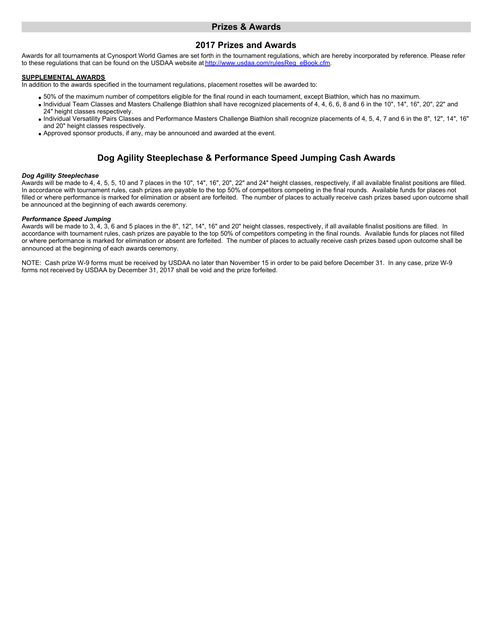## **Prizes & Awards**

## **2017 Prizes and Awards**

Awards for all tournaments at Cynosport World Games are set forth in the tournament regulations, which are hereby incorporated by reference. Please refer to these regulations that can be found on the USDAA website at http://www.usdaa.com/rulesReg\_eBook.cfm.

### **SUPPLEMENTAL AWARDS**

In addition to the awards specified in the tournament regulations, placement rosettes will be awarded to:

- 50% of the maximum number of competitors eligible for the final round in each tournament, except Biathlon, which has no maximum.
- Individual Team Classes and Masters Challenge Biathlon shall have recognized placements of 4, 4, 6, 6, 8 and 6 in the 10", 14", 16", 20", 22" and 24" height classes respectively.
- Individual Versatility Pairs Classes and Performance Masters Challenge Biathlon shall recognize placements of 4, 5, 4, 7 and 6 in the 8", 12", 14", 16" and 20" height classes respectively.
- Approved sponsor products, if any, may be announced and awarded at the event.

# **Dog Agility Steeplechase & Performance Speed Jumping Cash Awards**

#### *Dog Agility Steeplechase*

Awards will be made to 4, 4, 5, 5, 10 and 7 places in the 10", 14", 16", 20", 22" and 24" height classes, respectively, if all available finalist positions are filled. In accordance with tournament rules, cash prizes are payable to the top 50% of competitors competing in the final rounds. Available funds for places not filled or where performance is marked for elimination or absent are forfeited. The number of places to actually receive cash prizes based upon outcome shall be announced at the beginning of each awards ceremony.

### *Performance Speed Jumping*

Awards will be made to 3, 4, 3, 6 and 5 places in the 8", 12", 14", 16" and 20" height classes, respectively, if all available finalist positions are filled. In accordance with tournament rules, cash prizes are payable to the top 50% of competitors competing in the final rounds. Available funds for places not filled or where performance is marked for elimination or absent are forfeited. The number of places to actually receive cash prizes based upon outcome shall be announced at the beginning of each awards ceremony.

NOTE: Cash prize W-9 forms must be received by USDAA no later than November 15 in order to be paid before December 31. In any case, prize W-9 forms not received by USDAA by December 31, 2017 shall be void and the prize forfeited.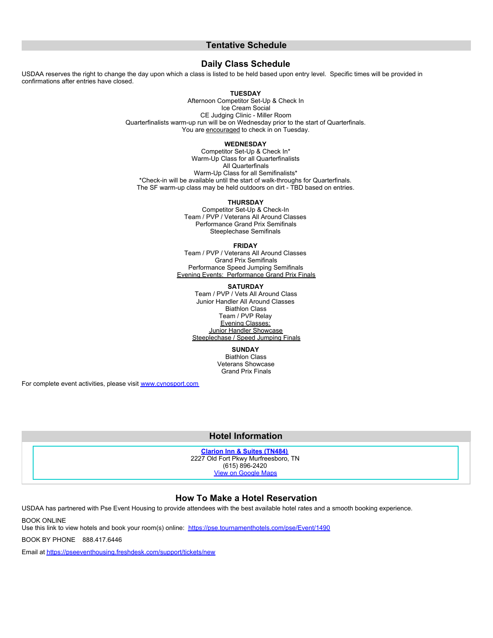## **Tentative Schedule**

### **Daily Class Schedule**

USDAA reserves the right to change the day upon which a class is listed to be held based upon entry level. Specific times will be provided in confirmations after entries have closed.

#### **TUESDAY**

Afternoon Competitor Set-Up & Check In Ice Cream Social CE Judging Clinic - Miller Room Quarterfinalists warm-up run will be on Wednesday prior to the start of Quarterfinals. You are encouraged to check in on Tuesday.

#### **WEDNESDAY**

Competitor Set-Up & Check In\* Warm-Up Class for all Quarterfinalists All Quarterfinals Warm-Up Class for all Semifinalists\* \*Check-in will be available until the start of walk-throughs for Quarterfinals. The SF warm-up class may be held outdoors on dirt - TBD based on entries.

#### **THURSDAY**

Competitor Set-Up & Check-In Team / PVP / Veterans All Around Classes Performance Grand Prix Semifinals Steeplechase Semifinals

**FRIDAY**

Team / PVP / Veterans All Around Classes Grand Prix Semifinals Performance Speed Jumping Semifinals Evening Events: Performance Grand Prix Finals

**SATURDAY**

Team / PVP / Vets All Around Class Junior Handler All Around Classes Biathlon Class Team / PVP Relay Evening Classes: Junior Handler Showcase Steeplechase / Speed Jumping Finals

> **SUNDAY** Biathlon Class Veterans Showcase Grand Prix Finals

For complete event activities, please visit [www.cynosport.com](http://www.cynosport.com)

### **Hotel Information**

**[Clarion Inn & Suites \(TN484\)](http://www.clarionhotel.com)** 2227 Old Fort Pkwy Murfreesboro, TN (615) 896-2420

[View on Google Maps](http://maps.google.com/maps?q=2227 Old Fort Pkwy, Murfreesboro, TN)

## **How To Make a Hotel Reservation**

USDAA has partnered with Pse Event Housing to provide attendees with the best available hotel rates and a smooth booking experience.

BOOK ONLINE

Use this link to view hotels and book your room(s) online: <https://pse.tournamenthotels.com/pse/Event/1490>

BOOK BY PHONE 888.417.6446

Email at<https://pseeventhousing.freshdesk.com/support/tickets/new>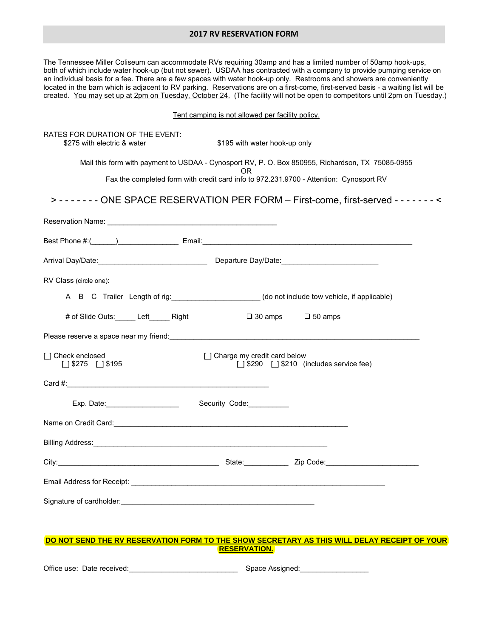### **2017 RV RESERVATION FORM**

The Tennessee Miller Coliseum can accommodate RVs requiring 30amp and has a limited number of 50amp hook-ups, both of which include water hook-up (but not sewer). USDAA has contracted with a company to provide pumping service on an individual basis for a fee. There are a few spaces with water hook-up only. Restrooms and showers are conveniently located in the barn which is adjacent to RV parking. Reservations are on a first-come, first-served basis - a waiting list will be created. You may set up at 2pm on Tuesday, October 24. (The facility will not be open to competitors until 2pm on Tuesday.)

### Tent camping is not allowed per facility policy.

| RATES FOR DURATION OF THE EVENT:<br>\$275 with electric & water                                             | \$195 with water hook-up only                                                                 |  |
|-------------------------------------------------------------------------------------------------------------|-----------------------------------------------------------------------------------------------|--|
| Mail this form with payment to USDAA - Cynosport RV, P. O. Box 850955, Richardson, TX 75085-0955            |                                                                                               |  |
|                                                                                                             | OR.<br>Fax the completed form with credit card info to 972.231.9700 - Attention: Cynosport RV |  |
| > - - - - - - - ONE SPACE RESERVATION PER FORM - First-come, first-served - - - - - - - <                   |                                                                                               |  |
|                                                                                                             |                                                                                               |  |
|                                                                                                             |                                                                                               |  |
|                                                                                                             |                                                                                               |  |
| RV Class (circle one):                                                                                      |                                                                                               |  |
| A B C Trailer Length of rig: ____________________(do not include tow vehicle, if applicable)                |                                                                                               |  |
| # of Slide Outs: Left Right                                                                                 | $\Box$ 30 amps $\Box$ 50 amps                                                                 |  |
|                                                                                                             |                                                                                               |  |
| [ ] Check enclosed<br>$1$   \$275     \$195                                                                 | [] Charge my credit card below<br>[] \$290 [] \$210 (includes service fee)                    |  |
|                                                                                                             |                                                                                               |  |
|                                                                                                             |                                                                                               |  |
| Name on Credit Card: <u>Carriel Communication of the Carriel Communication of the Carriel Communication</u> |                                                                                               |  |
|                                                                                                             |                                                                                               |  |
|                                                                                                             |                                                                                               |  |
|                                                                                                             |                                                                                               |  |
|                                                                                                             |                                                                                               |  |

### **DO NOT SEND THE RV RESERVATION FORM TO THE SHOW SECRETARY AS THIS WILL DELAY RECEIPT OF YOUR RESERVATION.**

Office use: Date received: example and the space Assigned: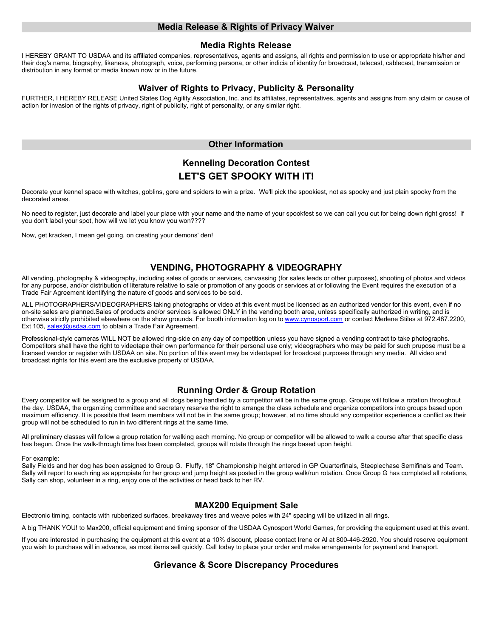### **Media Release & Rights of Privacy Waiver**

### **Media Rights Release**

I HEREBY GRANT TO USDAA and its affiliated companies, representatives, agents and assigns, all rights and permission to use or appropriate his/her and their dog's name, biography, likeness, photograph, voice, performing persona, or other indicia of identity for broadcast, telecast, cablecast, transmission or distribution in any format or media known now or in the future.

# **Waiver of Rights to Privacy, Publicity & Personality**

FURTHER, I HEREBY RELEASE United States Dog Agility Association, Inc. and its affiliates, representatives, agents and assigns from any claim or cause of action for invasion of the rights of privacy, right of publicity, right of personality, or any similar right.

## **Other Information**

# **Kenneling Decoration Contest LET'S GET SPOOKY WITH IT!**

Decorate your kennel space with witches, goblins, gore and spiders to win a prize. We'll pick the spookiest, not as spooky and just plain spooky from the decorated areas.

No need to register, just decorate and label your place with your name and the name of your spookfest so we can call you out for being down right gross! If you don't label your spot, how will we let you know you won????

Now, get kracken, I mean get going, on creating your demons' den!

# **VENDING, PHOTOGRAPHY & VIDEOGRAPHY**

All vending, photography & videography, including sales of goods or services, canvassing (for sales leads or other purposes), shooting of photos and videos for any purpose, and/or distribution of literature relative to sale or promotion of any goods or services at or following the Event requires the execution of a Trade Fair Agreement identifying the nature of goods and services to be sold.

ALL PHOTOGRAPHERS/VIDEOGRAPHERS taking photographs or video at this event must be licensed as an authorized vendor for this event, even if no on-site sales are planned.Sales of products and/or services is allowed ONLY in the vending booth area, unless specifically authorized in writing, and is otherwise strictly prohibited elsewhere on the show grounds. For booth information log on to www.cynosport.com or contact Merlene Stiles at 972.487.2200, Ext 105, [sales@usdaa.com](mailto:sales@usdaa.com) to obtain a Trade Fair Agreement.

Professional-style cameras WILL NOT be allowed ring-side on any day of competition unless you have signed a vending contract to take photographs. Competitors shall have the right to videotape their own performance for their personal use only; videographers who may be paid for such prupose must be a licensed vendor or register with USDAA on site. No portion of this event may be videotaped for broadcast purposes through any media. All video and broadcast rights for this event are the exclusive property of USDAA.

# **Running Order & Group Rotation**

Every competitor will be assigned to a group and all dogs being handled by a competitor will be in the same group. Groups will follow a rotation throughout the day. USDAA, the organizing committee and secretary reserve the right to arrange the class schedule and organize competitors into groups based upon maximum efficiency. It is possible that team members will not be in the same group; however, at no time should any competitor experience a conflict as their group will not be scheduled to run in two different rings at the same time.

All preliminary classes will follow a group rotation for walking each morning. No group or competitor will be allowed to walk a course after that specific class has begun. Once the walk-through time has been completed, groups will rotate through the rings based upon height.

For example:

Sally Fields and her dog has been assigned to Group G. Fluffy, 18" Championship height entered in GP Quarterfinals, Steeplechase Semifinals and Team. Sally will report to each ring as appropiate for her group and jump height as posted in the group walk/run rotation. Once Group G has completed all rotations, Sally can shop, volunteer in a ring, enjoy one of the activities or head back to her RV.

# **MAX200 Equipment Sale**

Electronic timing, contacts with rubberized surfaces, breakaway tires and weave poles with 24" spacing will be utilized in all rings.

A big THANK YOU! to Max200, official equipment and timing sponsor of the USDAA Cynosport World Games, for providing the equipment used at this event.

If you are interested in purchasing the equipment at this event at a 10% discount, please contact Irene or Al at 800-446-2920. You should reserve equipment you wish to purchase will in advance, as most items sell quickly. Call today to place your order and make arrangements for payment and transport.

# **Grievance & Score Discrepancy Procedures**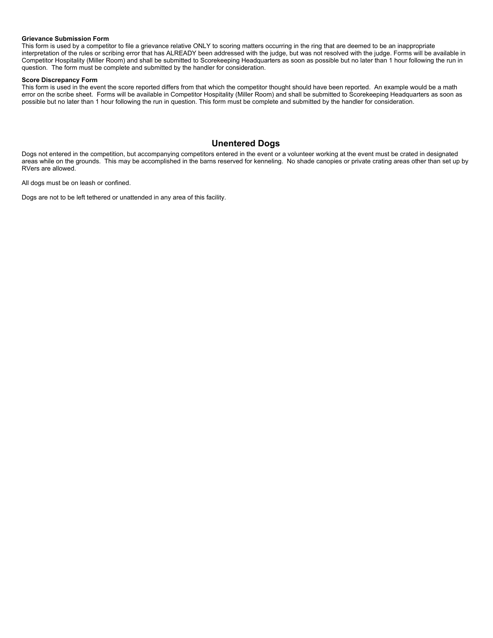### **Grievance Submission Form**

This form is used by a competitor to file a grievance relative ONLY to scoring matters occurring in the ring that are deemed to be an inappropriate interpretation of the rules or scribing error that has ALREADY been addressed with the judge, but was not resolved with the judge. Forms will be available in Competitor Hospitality (Miller Room) and shall be submitted to Scorekeeping Headquarters as soon as possible but no later than 1 hour following the run in question. The form must be complete and submitted by the handler for consideration.

### **Score Discrepancy Form**

This form is used in the event the score reported differs from that which the competitor thought should have been reported. An example would be a math error on the scribe sheet. Forms will be available in Competitor Hospitality (Miller Room) and shall be submitted to Scorekeeping Headquarters as soon as possible but no later than 1 hour following the run in question. This form must be complete and submitted by the handler for consideration.

## **Unentered Dogs**

Dogs not entered in the competition, but accompanying competitors entered in the event or a volunteer working at the event must be crated in designated areas while on the grounds. This may be accomplished in the barns reserved for kenneling. No shade canopies or private crating areas other than set up by RVers are allowed.

All dogs must be on leash or confined.

Dogs are not to be left tethered or unattended in any area of this facility.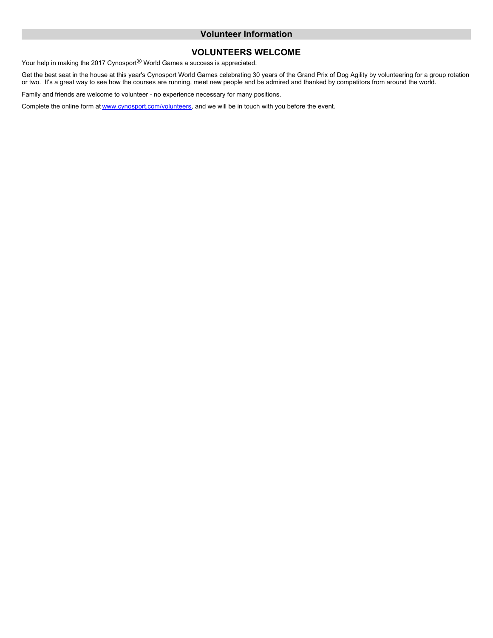## **Volunteer Information**

# **VOLUNTEERS WELCOME**

Your help in making the 2017 Cynosport<sup>®</sup> World Games a success is appreciated.

Get the best seat in the house at this year's Cynosport World Games celebrating 30 years of the Grand Prix of Dog Agility by volunteering for a group rotation or two. It's a great way to see how the courses are running, meet new people and be admired and thanked by competitors from around the world.

Family and friends are welcome to volunteer - no experience necessary for many positions.

Complete the online form at [www.cynosport.com/volunteers](http://www.cynosport.com), and we will be in touch with you before the event.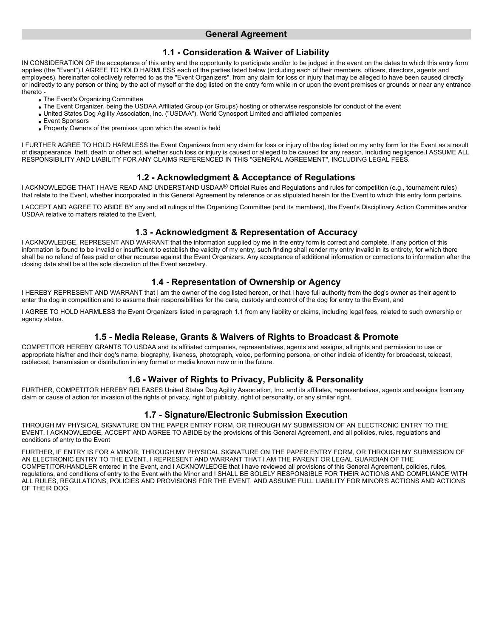## **General Agreement**

# **1.1 - Consideration & Waiver of Liability**

IN CONSIDERATION OF the acceptance of this entry and the opportunity to participate and/or to be judged in the event on the dates to which this entry form applies (the "Event"),I AGREE TO HOLD HARMLESS each of the parties listed below (including each of their members, officers, directors, agents and employees), hereinafter collectively referred to as the "Event Organizers", from any claim for loss or injury that may be alleged to have been caused directly or indirectly to any person or thing by the act of myself or the dog listed on the entry form while in or upon the event premises or grounds or near any entrance thereto -

The Event's Organizing Committee

- The Event Organizer, being the USDAA Affiliated Group (or Groups) hosting or otherwise responsible for conduct of the event
- United States Dog Agility Association, Inc. ("USDAA"), World Cynosport Limited and affiliated companies
- Event Sponsors
- Property Owners of the premises upon which the event is held

I FURTHER AGREE TO HOLD HARMLESS the Event Organizers from any claim for loss or injury of the dog listed on my entry form for the Event as a result of disappearance, theft, death or other act, whether such loss or injury is caused or alleged to be caused for any reason, including negligence.I ASSUME ALL RESPONSIBILITY AND LIABILITY FOR ANY CLAIMS REFERENCED IN THIS "GENERAL AGREEMENT", INCLUDING LEGAL FEES.

# **1.2 - Acknowledgment & Acceptance of Regulations**

I ACKNOWLEDGE THAT I HAVE READ AND UNDERSTAND USDAA® Official Rules and Regulations and rules for competition (e.g., tournament rules) that relate to the Event, whether incorporated in this General Agreement by reference or as stipulated herein for the Event to which this entry form pertains.

I ACCEPT AND AGREE TO ABIDE BY any and all rulings of the Organizing Committee (and its members), the Event's Disciplinary Action Committee and/or USDAA relative to matters related to the Event.

# **1.3 - Acknowledgment & Representation of Accuracy**

I ACKNOWLEDGE, REPRESENT AND WARRANT that the information supplied by me in the entry form is correct and complete. If any portion of this information is found to be invalid or insufficient to establish the validity of my entry, such finding shall render my entry invalid in its entirety, for which there shall be no refund of fees paid or other recourse against the Event Organizers. Any acceptance of additional information or corrections to information after the closing date shall be at the sole discretion of the Event secretary.

# **1.4 - Representation of Ownership or Agency**

I HEREBY REPRESENT AND WARRANT that I am the owner of the dog listed hereon, or that I have full authority from the dog's owner as their agent to enter the dog in competition and to assume their responsibilities for the care, custody and control of the dog for entry to the Event, and

I AGREE TO HOLD HARMLESS the Event Organizers listed in paragraph 1.1 from any liability or claims, including legal fees, related to such ownership or agency status.

# **1.5 - Media Release, Grants & Waivers of Rights to Broadcast & Promote**

COMPETITOR HEREBY GRANTS TO USDAA and its affiliated companies, representatives, agents and assigns, all rights and permission to use or appropriate his/her and their dog's name, biography, likeness, photograph, voice, performing persona, or other indicia of identity for broadcast, telecast, cablecast, transmission or distribution in any format or media known now or in the future.

# **1.6 - Waiver of Rights to Privacy, Publicity & Personality**

FURTHER, COMPETITOR HEREBY RELEASES United States Dog Agility Association, Inc. and its affiliates, representatives, agents and assigns from any claim or cause of action for invasion of the rights of privacy, right of publicity, right of personality, or any similar right.

# **1.7 - Signature/Electronic Submission Execution**

THROUGH MY PHYSICAL SIGNATURE ON THE PAPER ENTRY FORM, OR THROUGH MY SUBMISSION OF AN ELECTRONIC ENTRY TO THE EVENT, I ACKNOWLEDGE, ACCEPT AND AGREE TO ABIDE by the provisions of this General Agreement, and all policies, rules, regulations and conditions of entry to the Event

FURTHER, IF ENTRY IS FOR A MINOR, THROUGH MY PHYSICAL SIGNATURE ON THE PAPER ENTRY FORM, OR THROUGH MY SUBMISSION OF AN ELECTRONIC ENTRY TO THE EVENT, I REPRESENT AND WARRANT THAT I AM THE PARENT OR LEGAL GUARDIAN OF THE COMPETITOR/HANDLER entered in the Event, and I ACKNOWLEDGE that I have reviewed all provisions of this General Agreement, policies, rules, regulations, and conditions of entry to the Event with the Minor and I SHALL BE SOLELY RESPONSIBLE FOR THEIR ACTIONS AND COMPLIANCE WITH ALL RULES, REGULATIONS, POLICIES AND PROVISIONS FOR THE EVENT, AND ASSUME FULL LIABILITY FOR MINOR'S ACTIONS AND ACTIONS OF THEIR DOG.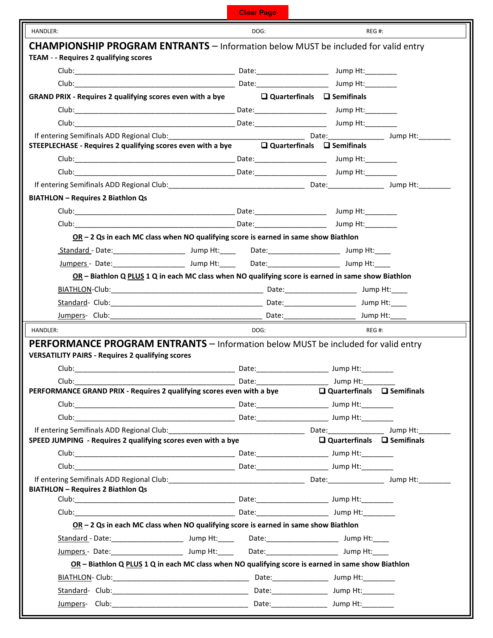| <b>Clear Page</b> |  |  |
|-------------------|--|--|
|                   |  |  |
|                   |  |  |
|                   |  |  |

| HANDLER:                                                                                                                                                                                               |                                                                                                    | DOG: | REG#:                                  |  |
|--------------------------------------------------------------------------------------------------------------------------------------------------------------------------------------------------------|----------------------------------------------------------------------------------------------------|------|----------------------------------------|--|
| <b>CHAMPIONSHIP PROGRAM ENTRANTS</b> – Information below MUST be included for valid entry                                                                                                              |                                                                                                    |      |                                        |  |
| TEAM - - Requires 2 qualifying scores                                                                                                                                                                  |                                                                                                    |      |                                        |  |
|                                                                                                                                                                                                        |                                                                                                    |      |                                        |  |
|                                                                                                                                                                                                        |                                                                                                    |      |                                        |  |
| <b>GRAND PRIX - Requires 2 qualifying scores even with a bye</b>                                                                                                                                       |                                                                                                    |      | $\Box$ Quarterfinals $\Box$ Semifinals |  |
|                                                                                                                                                                                                        |                                                                                                    |      |                                        |  |
|                                                                                                                                                                                                        |                                                                                                    |      |                                        |  |
| If entering Semifinals ADD Regional Club:<br>STEEPLECHASE - Requires 2 qualifying scores even with a bye $\Box$ Quarterfinals $\Box$ Semifinals Unity and Sumplets 2 qualifying scores even with a bye |                                                                                                    |      |                                        |  |
|                                                                                                                                                                                                        |                                                                                                    |      |                                        |  |
|                                                                                                                                                                                                        |                                                                                                    |      |                                        |  |
|                                                                                                                                                                                                        |                                                                                                    |      |                                        |  |
|                                                                                                                                                                                                        |                                                                                                    |      |                                        |  |
| <b>BIATHLON - Requires 2 Biathlon Qs</b>                                                                                                                                                               |                                                                                                    |      |                                        |  |
|                                                                                                                                                                                                        |                                                                                                    |      |                                        |  |
|                                                                                                                                                                                                        |                                                                                                    |      |                                        |  |
|                                                                                                                                                                                                        | $OR - 2$ Qs in each MC class when NO qualifying score is earned in same show Biathlon              |      |                                        |  |
|                                                                                                                                                                                                        |                                                                                                    |      |                                        |  |
|                                                                                                                                                                                                        |                                                                                                    |      |                                        |  |
|                                                                                                                                                                                                        | OR - Biathlon Q PLUS 1 Q in each MC class when NO qualifying score is earned in same show Biathlon |      |                                        |  |
|                                                                                                                                                                                                        |                                                                                                    |      |                                        |  |
|                                                                                                                                                                                                        |                                                                                                    |      |                                        |  |
|                                                                                                                                                                                                        |                                                                                                    |      |                                        |  |
| HANDLER:                                                                                                                                                                                               |                                                                                                    | DOG: | REG#:                                  |  |
| PERFORMANCE PROGRAM ENTRANTS - Information below MUST be included for valid entry                                                                                                                      |                                                                                                    |      |                                        |  |
| <b>VERSATILITY PAIRS - Requires 2 qualifying scores</b>                                                                                                                                                |                                                                                                    |      |                                        |  |
|                                                                                                                                                                                                        |                                                                                                    |      |                                        |  |
| $Club:$ $\Box$                                                                                                                                                                                         |                                                                                                    |      | Jump Ht: $\_\_\_\_\$                   |  |
| PERFORMANCE GRAND PRIX - Requires 2 qualifying scores even with a bye                                                                                                                                  |                                                                                                    |      | $\Box$ Quarterfinals $\Box$ Semifinals |  |
|                                                                                                                                                                                                        |                                                                                                    |      |                                        |  |
|                                                                                                                                                                                                        |                                                                                                    |      |                                        |  |
|                                                                                                                                                                                                        |                                                                                                    |      |                                        |  |
| SPEED JUMPING - Requires 2 qualifying scores even with a bye                                                                                                                                           |                                                                                                    |      | $\Box$ Quarterfinals $\Box$ Semifinals |  |
|                                                                                                                                                                                                        |                                                                                                    |      |                                        |  |
|                                                                                                                                                                                                        |                                                                                                    |      |                                        |  |
|                                                                                                                                                                                                        |                                                                                                    |      |                                        |  |
| <b>BIATHLON - Requires 2 Biathlon Qs</b>                                                                                                                                                               |                                                                                                    |      |                                        |  |
|                                                                                                                                                                                                        |                                                                                                    |      |                                        |  |
|                                                                                                                                                                                                        |                                                                                                    |      |                                        |  |
|                                                                                                                                                                                                        |                                                                                                    |      |                                        |  |
|                                                                                                                                                                                                        | OR - 2 Qs in each MC class when NO qualifying score is earned in same show Biathlon                |      |                                        |  |
|                                                                                                                                                                                                        |                                                                                                    |      |                                        |  |
| Jumpers - Date: _________________________ Jump Ht: _____ Date: _______________________ Jump Ht: ____                                                                                                   |                                                                                                    |      |                                        |  |
|                                                                                                                                                                                                        | OR - Biathlon Q PLUS 1 Q in each MC class when NO qualifying score is earned in same show Biathlon |      |                                        |  |
|                                                                                                                                                                                                        |                                                                                                    |      |                                        |  |
|                                                                                                                                                                                                        |                                                                                                    |      |                                        |  |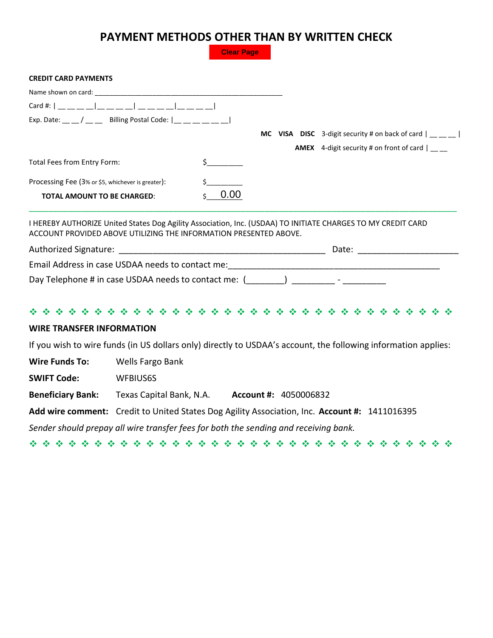# **PAYMENT METHODS OTHER THAN BY WRITTEN CHECK**

**Clear Page**

### **CREDIT CARD PAYMENTS**

| Exp. Date: __ __ / __ __ Billing Postal Code: $ $ __ __ __ __ __ __ |      |  |                                                                       |
|---------------------------------------------------------------------|------|--|-----------------------------------------------------------------------|
|                                                                     |      |  | <b>MC</b> VISA DISC 3-digit security # on back of card $\vert$ __ _ _ |
|                                                                     |      |  | <b>AMEX</b> 4-digit security # on front of card                       |
| Total Fees from Entry Form:                                         |      |  |                                                                       |
| Processing Fee (3% or \$5, whichever is greater):                   |      |  |                                                                       |
| <b>TOTAL AMOUNT TO BE CHARGED:</b>                                  | 0.00 |  |                                                                       |

I HEREBY AUTHORIZE United States Dog Agility Association, Inc. (USDAA) TO INITIATE CHARGES TO MY CREDIT CARD ACCOUNT PROVIDED ABOVE UTILIZING THE INFORMATION PRESENTED ABOVE.

| Authorized Signature:                                | Date: |
|------------------------------------------------------|-------|
| Email Address in case USDAA needs to contact me:     |       |
| Day Telephone # in case USDAA needs to contact me: [ |       |

|--|--|--|--|--|--|--|--|--|--|--|--|--|--|--|--|--|--|--|--|--|--|--|--|--|--|--|--|--|--|--|--|--|

## **WIRE TRANSFER INFORMATION**

If you wish to wire funds (in US dollars only) directly to USDAA's account, the following information applies:

**Wire Funds To:** Wells Fargo Bank

**SWIFT Code:** WFBIUS6S

**Beneficiary Bank:** Texas Capital Bank, N.A. **Account #:** 4050006832

**Add wire comment:** Credit to United States Dog Agility Association, Inc. **Account #:** 1411016395

*Sender should prepay all wire transfer fees for both the sending and receiving bank.*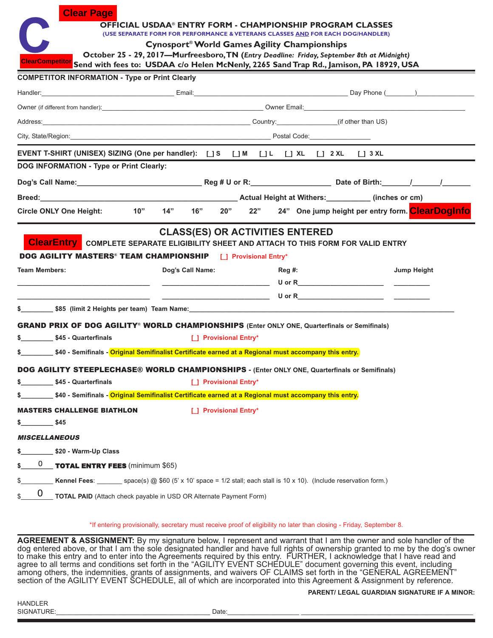|                                                                                                                                                                                                                                            | <b>OFFICIAL USDAA® ENTRY FORM - CHAMPIONSHIP PROGRAM CLASSES</b>                                                                                       |                                        |        |  |                                                                   |
|--------------------------------------------------------------------------------------------------------------------------------------------------------------------------------------------------------------------------------------------|--------------------------------------------------------------------------------------------------------------------------------------------------------|----------------------------------------|--------|--|-------------------------------------------------------------------|
|                                                                                                                                                                                                                                            | (USE SEPARATE FORM FOR PERFORMANCE & VETERANS CLASSES AND FOR EACH DOG/HANDLER)                                                                        |                                        |        |  |                                                                   |
|                                                                                                                                                                                                                                            | Cynosport <sup>®</sup> World Games Agility Championships<br>October 25 - 29, 2017-Murfreesboro, TN (Entry Deadline: Friday, September 8th at Midnight) |                                        |        |  |                                                                   |
| ClearCompetitor Send with fees to: USDAA c/o Helen McNenly, 2265 Sand Trap Rd., Jamison, PA 18929, USA                                                                                                                                     |                                                                                                                                                        |                                        |        |  |                                                                   |
| <b>COMPETITOR INFORMATION - Type or Print Clearly</b>                                                                                                                                                                                      |                                                                                                                                                        |                                        |        |  |                                                                   |
| Handler: Day Phone (Changles 2014) 2014 12:30 Contract Contract Contract Contract Contract Contract Contract Contract Contract Contract Contract Contract Contract Contract Contract Contract Contract Contract Contract Contr             |                                                                                                                                                        |                                        |        |  |                                                                   |
|                                                                                                                                                                                                                                            |                                                                                                                                                        |                                        |        |  |                                                                   |
| Address: (if other than US) and the control of the control of the control of the control of the control of the control of the control of the control of the control of the control of the control of the control of the contro             |                                                                                                                                                        |                                        |        |  |                                                                   |
|                                                                                                                                                                                                                                            |                                                                                                                                                        |                                        |        |  |                                                                   |
| EVENT T-SHIRT (UNISEX) SIZING (One per handler): [ ] S [ ] M [ ] L [ ] XL [ ] 2 XL [ ] 3 XL                                                                                                                                                |                                                                                                                                                        |                                        |        |  |                                                                   |
| <b>DOG INFORMATION - Type or Print Clearly:</b>                                                                                                                                                                                            |                                                                                                                                                        |                                        |        |  |                                                                   |
|                                                                                                                                                                                                                                            |                                                                                                                                                        |                                        |        |  |                                                                   |
|                                                                                                                                                                                                                                            |                                                                                                                                                        |                                        |        |  |                                                                   |
| 10"<br><b>Circle ONLY One Height:</b>                                                                                                                                                                                                      |                                                                                                                                                        |                                        |        |  | 14" 16" 20" 22" 24" One jump height per entry form. Clear Doginfo |
| <b>ClearEntry</b> COMPLETE SEPARATE ELIGIBILITY SHEET AND ATTACH TO THIS FORM FOR VALID ENTRY<br><b>DOG AGILITY MASTERS<sup>®</sup> TEAM CHAMPIONSHIP</b> [ ] Provisional Entry*                                                           |                                                                                                                                                        | <b>CLASS(ES) OR ACTIVITIES ENTERED</b> |        |  |                                                                   |
|                                                                                                                                                                                                                                            |                                                                                                                                                        |                                        |        |  |                                                                   |
|                                                                                                                                                                                                                                            | Dog's Call Name:                                                                                                                                       |                                        | Reg #: |  | Jump Height                                                       |
|                                                                                                                                                                                                                                            |                                                                                                                                                        |                                        |        |  |                                                                   |
| <b>Team Members:</b>                                                                                                                                                                                                                       |                                                                                                                                                        |                                        |        |  |                                                                   |
|                                                                                                                                                                                                                                            |                                                                                                                                                        |                                        |        |  |                                                                   |
| <b>GRAND PRIX OF DOG AGILITY® WORLD CHAMPIONSHIPS (Enter ONLY ONE, Quarterfinals or Semifinals)</b><br>\$ \$45 - Quarterfinals                                                                                                             |                                                                                                                                                        | [ ] Provisional Entry*                 |        |  |                                                                   |
| \$ __________\$40 - Semifinals - Original Semifinalist Certificate earned at a Regional must accompany this entry.                                                                                                                         |                                                                                                                                                        |                                        |        |  |                                                                   |
|                                                                                                                                                                                                                                            |                                                                                                                                                        |                                        |        |  |                                                                   |
| \$45 - Quarterfinals                                                                                                                                                                                                                       |                                                                                                                                                        | [ ] Provisional Entry*                 |        |  |                                                                   |
| DOG AGILITY STEEPLECHASE® WORLD CHAMPIONSHIPS - (Enter ONLY ONE, Quarterfinals or Semifinals)<br>\$<br>.40 - Semifinals - <mark>Original Semifinalist Certificate earned at a Regional must accompany this entry ب</mark> هالة المسا<br>\$ |                                                                                                                                                        |                                        |        |  |                                                                   |
| <b>MASTERS CHALLENGE BIATHLON</b>                                                                                                                                                                                                          |                                                                                                                                                        | [ ] Provisional Entry*                 |        |  |                                                                   |
| \$45                                                                                                                                                                                                                                       |                                                                                                                                                        |                                        |        |  |                                                                   |
| <b>MISCELLANEOUS</b>                                                                                                                                                                                                                       |                                                                                                                                                        |                                        |        |  |                                                                   |
| \$20 - Warm-Up Class<br>\$                                                                                                                                                                                                                 |                                                                                                                                                        |                                        |        |  |                                                                   |
| $\underline{0}$ <b>TOTAL ENTRY FEES</b> (minimum \$65)<br>\$                                                                                                                                                                               |                                                                                                                                                        |                                        |        |  |                                                                   |
| Kennel Fees: _______ space(s) @ \$60 (5' x 10' space = 1/2 stall; each stall is 10 x 10). (Include reservation form.)<br>\$                                                                                                                |                                                                                                                                                        |                                        |        |  |                                                                   |

\*If entering provisionally, secretary must receive proof of eligibility no later than closing - Friday, September 8.

**AGREEMENT & ASSIGNMENT:** By my signature below, I represent and warrant that I am the owner and sole handler of the dog entered above, or that I am the sole designated handler and have full rights of ownership granted to me by the dog's owner to make this entry and to enter into the Agreements required by this entry.  FURTHER, I acknowledge that I have read and agree to all terms and conditions set forth in the "AGILITY EVENT SCHEDULE" document governing this event, including among others, the indemnities, grants of assignments, and waivers OF CLAIMS set forth in the "GENERAL AGREEMENT" section of the AGILITY EVENT SCHEDULE, all of which are incorporated into this Agreement & Assignment by reference.

### **PARENT/ LEGAL GUARDIAN SIGNATURE IF A MINOR:**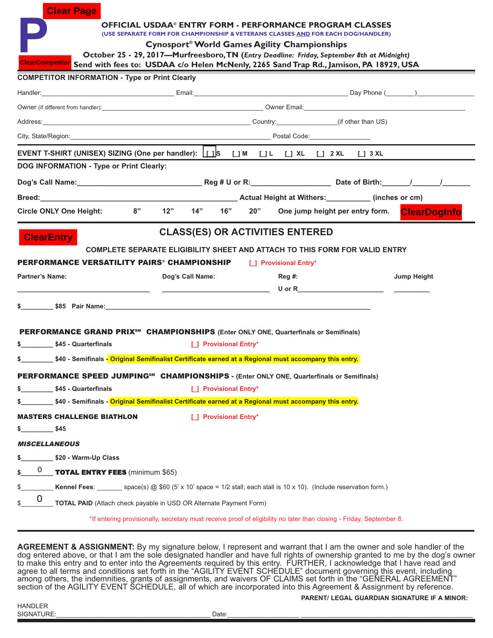|                        | <b>Clear Page</b>                                                                                                                                                                                                              |                                                                                                                                                     |                        |     |                                  |                                 |                     |
|------------------------|--------------------------------------------------------------------------------------------------------------------------------------------------------------------------------------------------------------------------------|-----------------------------------------------------------------------------------------------------------------------------------------------------|------------------------|-----|----------------------------------|---------------------------------|---------------------|
|                        |                                                                                                                                                                                                                                | <b>OFFICIAL USDAA® ENTRY FORM - PERFORMANCE PROGRAM CLASSES</b><br>(USE SEPARATE FORM FOR CHAMPIONSHIP & VETERANS CLASSES AND FOR EACH DOG/HANDLER) |                        |     |                                  |                                 |                     |
|                        |                                                                                                                                                                                                                                | Cynosport <sup>®</sup> World Games Agility Championships                                                                                            |                        |     |                                  |                                 |                     |
|                        |                                                                                                                                                                                                                                | October 25 - 29, 2017-Murfreesboro, TN (Entry Deadline: Friday, September 8th at Midnight)                                                          |                        |     |                                  |                                 |                     |
|                        | ClearCompetitor Send with fees to: USDAA c/o Helen McNenly, 2265 Sand Trap Rd., Jamison, PA 18929, USA<br><b>COMPETITOR INFORMATION - Type or Print Clearly</b>                                                                |                                                                                                                                                     |                        |     |                                  |                                 |                     |
|                        | Handler: Day Phone (Changles 2014) 2014 12:30 Contract Contract Contract Contract Contract Contract Contract Contract Contract Contract Contract Contract Contract Contract Contract Contract Contract Contract Contract Contr |                                                                                                                                                     |                        |     |                                  |                                 |                     |
|                        |                                                                                                                                                                                                                                |                                                                                                                                                     |                        |     |                                  |                                 |                     |
|                        | Address: (if other than US)                                                                                                                                                                                                    |                                                                                                                                                     |                        |     |                                  |                                 |                     |
|                        |                                                                                                                                                                                                                                |                                                                                                                                                     |                        |     |                                  |                                 |                     |
|                        | EVENT T-SHIRT (UNISEX) SIZING (One per handler): [ [ ] S [ ] M [ ] L [ ] XL [ ] 2 XL [ ] 3 XL                                                                                                                                  |                                                                                                                                                     |                        |     |                                  |                                 |                     |
|                        | <b>DOG INFORMATION - Type or Print Clearly:</b>                                                                                                                                                                                |                                                                                                                                                     |                        |     |                                  |                                 |                     |
|                        |                                                                                                                                                                                                                                |                                                                                                                                                     |                        |     |                                  |                                 |                     |
|                        | Breed: (inches or cm) and the extended of the extended of the extended of the extended of the extended of the extended of the extended of the extended of the extended of the extended of the extended of the extended of the  |                                                                                                                                                     |                        |     |                                  |                                 |                     |
|                        | <b>Circle ONLY One Height:</b>                                                                                                                                                                                                 | 8"                                                                                                                                                  | $12"$ $14"$ $16"$      | 20" |                                  | One jump height per entry form. | <b>ClearDogInfo</b> |
| <b>Partner's Name:</b> | PERFORMANCE VERSATILITY PAIRS® CHAMPIONSHIP                                                                                                                                                                                    | COMPLETE SEPARATE ELIGIBILITY SHEET AND ATTACH TO THIS FORM FOR VALID ENTRY<br>Dog's Call Name:                                                     |                        |     | [ ] Provisional Entry*<br>Reg #: |                                 | Jump Height         |
|                        |                                                                                                                                                                                                                                |                                                                                                                                                     |                        |     |                                  |                                 |                     |
|                        | PERFORMANCE GRAND PRIX <sup>5M</sup> CHAMPIONSHIPS (Enter ONLY ONE, Quarterfinals or Semifinals)                                                                                                                               |                                                                                                                                                     |                        |     |                                  |                                 |                     |
|                        | \$ \$45 - Quarterfinals                                                                                                                                                                                                        |                                                                                                                                                     | [ ] Provisional Entry* |     |                                  |                                 |                     |
|                        |                                                                                                                                                                                                                                |                                                                                                                                                     |                        |     |                                  |                                 |                     |
|                        | <b>PERFORMANCE SPEED JUMPING<sup>5M</sup> CHAMPIONSHIPS</b> - (Enter ONLY ONE, Quarterfinals or Semifinals)                                                                                                                    |                                                                                                                                                     |                        |     |                                  |                                 |                     |
| \$                     | \$45 - Quarterfinals                                                                                                                                                                                                           |                                                                                                                                                     | [ ] Provisional Entry* |     |                                  |                                 |                     |
|                        | \$40 - Semifinals - Original Semifinalist Certificate earned at a Regional must accompany this entry.                                                                                                                          |                                                                                                                                                     |                        |     |                                  |                                 |                     |
|                        | <b>MASTERS CHALLENGE BIATHLON</b>                                                                                                                                                                                              |                                                                                                                                                     | [ ] Provisional Entry* |     |                                  |                                 |                     |
| $\frac{\$45}{\$45}$    |                                                                                                                                                                                                                                |                                                                                                                                                     |                        |     |                                  |                                 |                     |
| <b>MISCELLANEOUS</b>   |                                                                                                                                                                                                                                |                                                                                                                                                     |                        |     |                                  |                                 |                     |
| \$_                    | \$20 - Warm-Up Class                                                                                                                                                                                                           |                                                                                                                                                     |                        |     |                                  |                                 |                     |
| 0<br>\$                | <b>TOTAL ENTRY FEES</b> (minimum \$65)                                                                                                                                                                                         |                                                                                                                                                     |                        |     |                                  |                                 |                     |
| \$                     | Kennel Fees: _______ space(s) @ $$60$ (5' x 10' space = 1/2 stall; each stall is 10 x 10). (Include reservation form.)                                                                                                         |                                                                                                                                                     |                        |     |                                  |                                 |                     |
| 0<br>\$                | <b>TOTAL PAID</b> (Attach check payable in USD OR Alternate Payment Form)                                                                                                                                                      |                                                                                                                                                     |                        |     |                                  |                                 |                     |
|                        |                                                                                                                                                                                                                                | *If entering provisionally, secretary must receive proof of eligibility no later than closing - Friday, September 8.                                |                        |     |                                  |                                 |                     |

**AGREEMENT & ASSIGNMENT:** By my signature below, I represent and warrant that I am the owner and sole handler of the dog entered above, or that I am the sole designated handler and have full rights of ownership granted to me by the dog's owner to make this entry and to enter into the Agreements required by this entry. FURTHER, I acknowledge that I have read and agree to all terms and conditions set forth in the "AGILITY EVENT SCHEDULE" document governing this event, including among others, the indemnities, grants of assignments, and waivers OF CLAIMS set forth in the "GENERAL AGREEMENT" section of the AGILITY EVENT SCHEDULE, all of which are incorporated into this Agreement & Assignment by reference.

**PARENT/ LEGAL GUARDIAN SIGNATURE IF A MINOR:**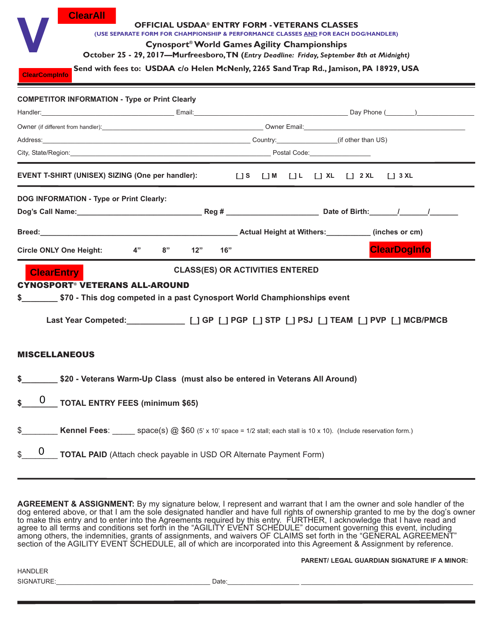| <b>ClearAll</b><br><b>ClearCompinfo</b>                                                                                                                                                                                                                                                                                   | <b>OFFICIAL USDAA® ENTRY FORM - VETERANS CLASSES</b><br>(USE SEPARATE FORM FOR CHAMPIONSHIP & PERFORMANCE CLASSES AND FOR EACH DOG/HANDLER)<br>Cynosport <sup>®</sup> World Games Agility Championships<br>October 25 - 29, 2017-Murfreesboro, TN (Entry Deadline: Friday, September 8th at Midnight)<br>Send with fees to: USDAA c/o Helen McNenly, 2265 Sand Trap Rd., Jamison, PA 18929, USA |                                                                                               |
|---------------------------------------------------------------------------------------------------------------------------------------------------------------------------------------------------------------------------------------------------------------------------------------------------------------------------|-------------------------------------------------------------------------------------------------------------------------------------------------------------------------------------------------------------------------------------------------------------------------------------------------------------------------------------------------------------------------------------------------|-----------------------------------------------------------------------------------------------|
| <b>COMPETITOR INFORMATION - Type or Print Clearly</b>                                                                                                                                                                                                                                                                     |                                                                                                                                                                                                                                                                                                                                                                                                 |                                                                                               |
|                                                                                                                                                                                                                                                                                                                           |                                                                                                                                                                                                                                                                                                                                                                                                 |                                                                                               |
|                                                                                                                                                                                                                                                                                                                           |                                                                                                                                                                                                                                                                                                                                                                                                 |                                                                                               |
| Address: (if other than US) Country: (if other than US)                                                                                                                                                                                                                                                                   |                                                                                                                                                                                                                                                                                                                                                                                                 |                                                                                               |
| City, State/Region: City, State/Region: City, State/Region: City, State/Region: City, State/Region:                                                                                                                                                                                                                       |                                                                                                                                                                                                                                                                                                                                                                                                 |                                                                                               |
| EVENT T-SHIRT (UNISEX) SIZING (One per handler):                                                                                                                                                                                                                                                                          |                                                                                                                                                                                                                                                                                                                                                                                                 |                                                                                               |
| <b>DOG INFORMATION - Type or Print Clearly:</b><br>Breed: Contract Contract Contract Contract Contract Contract Contract Contract Contract Contract Contract Contract Contract Contract Contract Contract Contract Contract Contract Contract Contract Contract Contract Contract<br>4"<br><b>Circle ONLY One Height:</b> | 8"<br>12"<br>16"                                                                                                                                                                                                                                                                                                                                                                                | <b>ClearDogInfo</b>                                                                           |
| <b>ClearEntry</b><br><b>CYNOSPORT<sup>®</sup> VETERANS ALL-AROUND</b>                                                                                                                                                                                                                                                     | <b>CLASS(ES) OR ACTIVITIES ENTERED</b>                                                                                                                                                                                                                                                                                                                                                          | Last Year Competed: ____________ [_] GP [_] PGP [_] STP [_] PSJ [_] TEAM [_] PVP [_] MCB/PMCB |
| <b>MISCELLANEOUS</b>                                                                                                                                                                                                                                                                                                      |                                                                                                                                                                                                                                                                                                                                                                                                 |                                                                                               |
| \$                                                                                                                                                                                                                                                                                                                        | \$20 - Veterans Warm-Up Class (must also be entered in Veterans All Around)                                                                                                                                                                                                                                                                                                                     |                                                                                               |
| $\boldsymbol{0}$<br><b>TOTAL ENTRY FEES (minimum \$65)</b><br>\$                                                                                                                                                                                                                                                          |                                                                                                                                                                                                                                                                                                                                                                                                 |                                                                                               |
| \$<br>0<br>\$                                                                                                                                                                                                                                                                                                             | Kennel Fees: space(s) @ \$60 (5' x 10' space = 1/2 stall; each stall is 10 x 10). (Include reservation form.)<br>TOTAL PAID (Attach check payable in USD OR Alternate Payment Form)                                                                                                                                                                                                             |                                                                                               |

**AGREEMENT & ASSIGNMENT:** By my signature below, I represent and warrant that I am the owner and sole handler of the dog entered above, or that I am the sole designated handler and have full rights of ownership granted to me by the dog's owner to make this entry and to enter into the Agreements required by this entry.  FURTHER, I acknowledge that I have read and agree to all terms and conditions set forth in the "AGILITY EVENT SCHEDULE" document governing this event, including among others, the indemnities, grants of assignments, and waivers OF CLAIMS set forth in the "GENERAL AGREEMENT" section of the AGILITY EVENT SCHEDULE, all of which are incorporated into this Agreement & Assignment by reference.

**PARENT/ LEGAL GUARDIAN SIGNATURE IF A MINOR:** 

HANDLER SIGNATURE:\_\_\_\_\_\_\_\_\_\_\_\_\_\_\_\_\_\_\_\_\_\_\_\_\_\_\_\_\_\_\_\_\_\_\_\_\_\_\_\_\_\_\_ Date:\_\_\_\_\_\_\_\_\_\_\_\_\_\_\_\_\_\_\_\_ \_\_\_\_\_\_\_\_\_\_\_\_\_\_\_\_\_\_\_\_\_\_\_\_\_\_\_\_\_\_\_\_\_\_\_\_\_\_\_\_\_\_\_\_\_\_\_\_